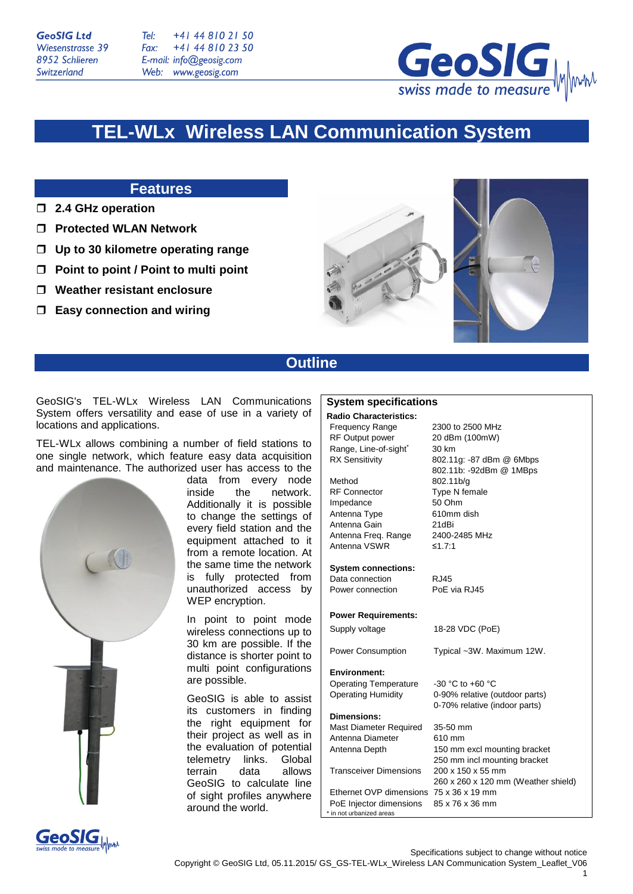**GeoSIG Ltd** Wiesenstrasse 39 8952 Schlieren Switzerland

Tel: +41 44 810 21 50 Fax: +41 44 810 23 50 E-mail: info@geosig.com Web: www.geosig.com



# **TEL-WLx Wireless LAN Communication System**

### **Features**

- **2.4 GHz operation**
- **Protected WLAN Network**
- **Up to 30 kilometre operating range**
- **Point to point / Point to multi point**
- **Weather resistant enclosure**
- **Easy connection and wiring**





## **Outline**

GeoSIG's TEL-WLx Wireless LAN Communications System offers versatility and ease of use in a variety of locations and applications.

TEL-WLx allows combining a number of field stations to one single network, which feature easy data acquisition and maintenance. The authorized user has access to the



data from every node inside the network. Additionally it is possible to change the settings of every field station and the equipment attached to it from a remote location. At the same time the network is fully protected from unauthorized access by WEP encryption.

In point to point mode wireless connections up to 30 km are possible. If the distance is shorter point to multi point configurations are possible.

GeoSIG is able to assist its customers in finding the right equipment for their project as well as in the evaluation of potential telemetry links. Global terrain data allows GeoSIG to calculate line of sight profiles anywhere around the world.

#### **System specifications**

#### **Radio Characteristics:** Frequency Range 2300 to 2500 MHz

RF Output power 20 dBm (100mW) Range, Line-of-sight\* 30 km RX Sensitivity 802.11g: -87 dBm @ 6Mbps Method 802.11b/g RF Connector Type N female Impedance 50 Ohm Antenna Type 610mm dish Antenna Gain 21dBi Antenna Freq. Range 2400-2485 MHz Antenna VSWR ≤1.7:1 **System connections:**

Data connection RJ45

Power connection PoE via RJ45

### **Power Requirements:**

Supply voltage 18-28 VDC (PoE) Power Consumption Typical ~3W. Maximum 12W. **Environment:** Operating Temperature -30 °C to +60 °C Operating Humidity 0-90% relative (outdoor parts) 0-70% relative (indoor parts) **Dimensions:** Mast Diameter Required 35-50 mm Antenna Diameter 610 mm Antenna Depth 150 mm excl mounting bracket 250 mm incl mounting bracket Transceiver Dimensions 200 x 150 x 55 mm Ethernet OVP dimensions 75 x 36 x 19 mm

PoE Injector dimensions 85 x 76 x 36 mm \* in not urbanized areas

802.11b: -92dBm @ 1MBps

260 x 260 x 120 mm (Weather shield)



Specifications subject to change without notice Copyright © GeoSIG Ltd, 05.11.2015/ GS\_GS-TEL-WLx\_Wireless LAN Communication System\_Leaflet\_V06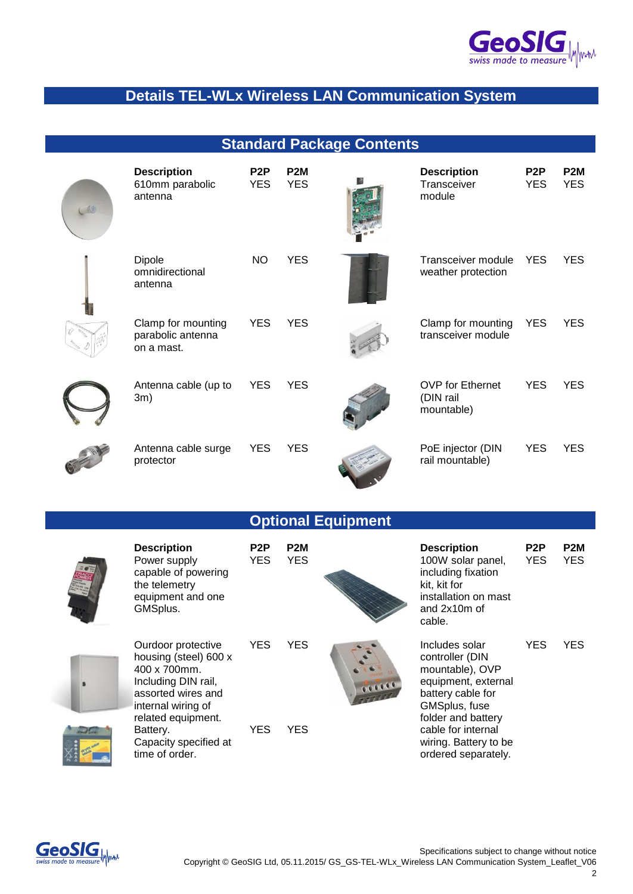

## **Details TEL-WLx Wireless LAN Communication System**

**Standard Package Contents**

| <b>Description</b><br>610mm parabolic<br>antenna      | P <sub>2</sub> P<br><b>YES</b> | P <sub>2</sub> M<br><b>YES</b> | <b>Description</b><br>Transceiver<br>module        | P <sub>2</sub> P<br>YES. | P <sub>2</sub> M<br><b>YES</b> |
|-------------------------------------------------------|--------------------------------|--------------------------------|----------------------------------------------------|--------------------------|--------------------------------|
| Dipole<br>omnidirectional<br>antenna                  | NO                             | YES                            | Transceiver module<br>weather protection           | <b>YES</b>               | <b>YES</b>                     |
| Clamp for mounting<br>parabolic antenna<br>on a mast. | <b>YES</b>                     | <b>YES</b>                     | Clamp for mounting<br>transceiver module           | <b>YES</b>               | <b>YES</b>                     |
| Antenna cable (up to<br>3m)                           | <b>YES</b>                     | <b>YES</b>                     | <b>OVP</b> for Ethernet<br>(DIN rail<br>mountable) | <b>YES</b>               | <b>YES</b>                     |

Antenna cable surge

protector

| Transceiver module<br>weather protection           | YES. | YES |
|----------------------------------------------------|------|-----|
| Clamp for mounting<br>transceiver module           | YES. | YES |
| <b>OVP</b> for Ethernet<br>(DIN rail<br>mountable) | YES. | YES |



## **Optional Equipment**

| <b>Description</b><br>Power supply<br>capable of powering<br>the telemetry<br>equipment and one<br>GMSplus.                                                                                                 | P <sub>2</sub> P<br><b>YES</b> | P <sub>2</sub> M<br><b>YES</b> |        | <b>Description</b><br>100W solar panel,<br>including fixation<br>kit, kit for<br>installation on mast<br>and 2x10m of<br>cable.                                                                               | P <sub>2</sub> P<br><b>YES</b> | P <sub>2</sub> M<br><b>YES</b> |
|-------------------------------------------------------------------------------------------------------------------------------------------------------------------------------------------------------------|--------------------------------|--------------------------------|--------|---------------------------------------------------------------------------------------------------------------------------------------------------------------------------------------------------------------|--------------------------------|--------------------------------|
| Ourdoor protective<br>housing (steel) 600 x<br>400 x 700mm.<br>Including DIN rail,<br>assorted wires and<br>internal wiring of<br>related equipment.<br>Battery.<br>Capacity specified at<br>time of order. | <b>YES</b><br><b>YES</b>       | <b>YES</b><br><b>YES</b>       | 000000 | Includes solar<br>controller (DIN<br>mountable), OVP<br>equipment, external<br>battery cable for<br>GMSplus, fuse<br>folder and battery<br>cable for internal<br>wiring. Battery to be<br>ordered separately. | YES                            | <b>YES</b>                     |